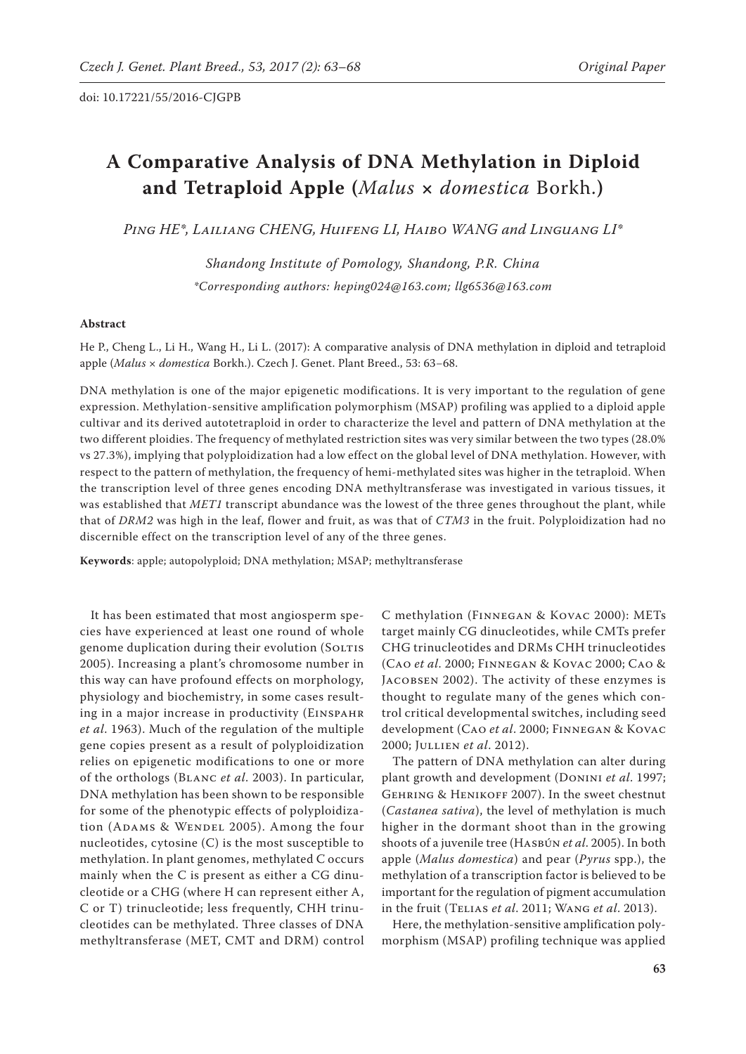# **A Comparative Analysis of DNA Methylation in Diploid and Tetraploid Apple (***Malus* **×** *domestica* Borkh.**)**

*Ping HE\*, Lailiang CHENG, Huifeng LI, Haibo WANG and Linguang LI\**

*Shandong Institute of Pomology, Shandong, P.R. China \*Corresponding authors: heping024@163.com; llg6536@163.com*

# **Abstract**

He P., Cheng L., Li H., Wang H., Li L. (2017): A comparative analysis of DNA methylation in diploid and tetraploid apple (*Malus* × *domestica* Borkh.). Czech J. Genet. Plant Breed., 53: 63−68.

DNA methylation is one of the major epigenetic modifications. It is very important to the regulation of gene expression. Methylation-sensitive amplification polymorphism (MSAP) profiling was applied to a diploid apple cultivar and its derived autotetraploid in order to characterize the level and pattern of DNA methylation at the two different ploidies. The frequency of methylated restriction sites was very similar between the two types (28.0% vs 27.3%), implying that polyploidization had a low effect on the global level of DNA methylation. However, with respect to the pattern of methylation, the frequency of hemi-methylated sites was higher in the tetraploid. When the transcription level of three genes encoding DNA methyltransferase was investigated in various tissues, it was established that *MET1* transcript abundance was the lowest of the three genes throughout the plant, while that of *DRM2* was high in the leaf, flower and fruit, as was that of *CTM3* in the fruit. Polyploidization had no discernible effect on the transcription level of any of the three genes.

**Keywords**: apple; autopolyploid; DNA methylation; MSAP; methyltransferase

It has been estimated that most angiosperm species have experienced at least one round of whole genome duplication during their evolution (SOLTIS 2005). Increasing a plant's chromosome number in this way can have profound effects on morphology, physiology and biochemistry, in some cases resulting in a major increase in productivity (Einspahr *et al*. 1963). Much of the regulation of the multiple gene copies present as a result of polyploidization relies on epigenetic modifications to one or more of the orthologs (Blanc *et al*. 2003). In particular, DNA methylation has been shown to be responsible for some of the phenotypic effects of polyploidization (ADAMS & WENDEL 2005). Among the four nucleotides, cytosine (C) is the most susceptible to methylation. In plant genomes, methylated C occurs mainly when the C is present as either a CG dinucleotide or a CHG (where H can represent either A, C or T) trinucleotide; less frequently, CHH trinucleotides can be methylated. Three classes of DNA methyltransferase (MET, CMT and DRM) control

C methylation (Finnegan & Kovac 2000): METs target mainly CG dinucleotides, while CMTs prefer CHG trinucleotides and DRMs CHH trinucleotides (Cao *et al*. 2000; Finnegan & Kovac 2000; Cao & Jacobsen 2002). The activity of these enzymes is thought to regulate many of the genes which control critical developmental switches, including seed development (Cao *et al*. 2000; Finnegan & Kovac 2000; Jullien *et al*. 2012).

The pattern of DNA methylation can alter during plant growth and development (Donini *et al*. 1997; GEHRING & HENIKOFF 2007). In the sweet chestnut (*Castanea sativa*), the level of methylation is much higher in the dormant shoot than in the growing shoots of a juvenile tree (Hasbún *et al*. 2005). In both apple (*Malus domestica*) and pear (*Pyrus* spp.), the methylation of a transcription factor is believed to be important for the regulation of pigment accumulation in the fruit (Telias *et al*. 2011; Wang *et al*. 2013).

Here, the methylation-sensitive amplification polymorphism (MSAP) profiling technique was applied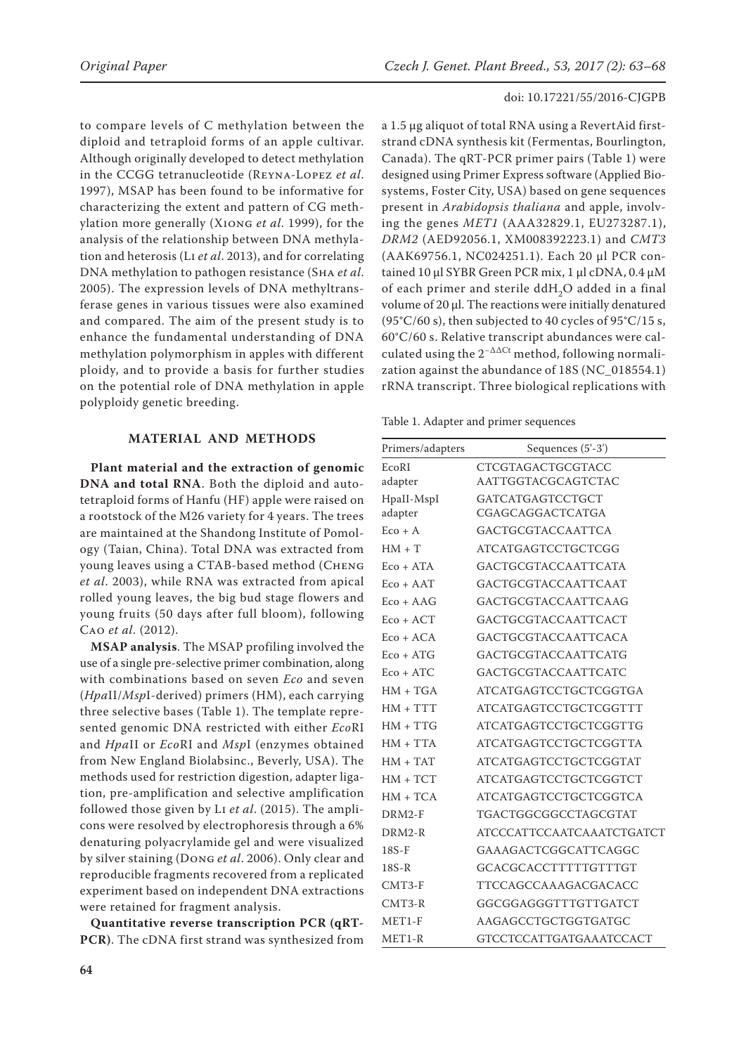to compare levels of C methylation between the diploid and tetraploid forms of an apple cultivar. Although originally developed to detect methylation in the CCGG tetranucleotide (Reyna-Lopez *et al*. 1997), MSAP has been found to be informative for characterizing the extent and pattern of CG methylation more generally (Xiong *et al*. 1999), for the analysis of the relationship between DNA methylation and heterosis (Li *et al*. 2013), and for correlating DNA methylation to pathogen resistance (Sha *et al*. 2005). The expression levels of DNA methyltransferase genes in various tissues were also examined and compared. The aim of the present study is to enhance the fundamental understanding of DNA methylation polymorphism in apples with different ploidy, and to provide a basis for further studies on the potential role of DNA methylation in apple polyploidy genetic breeding.

# **MATERIAL AND METHODS**

**Plant material and the extraction of genomic DNA and total RNA**. Both the diploid and autotetraploid forms of Hanfu (HF) apple were raised on a rootstock of the M26 variety for 4 years. The trees are maintained at the Shandong Institute of Pomology (Taian, China). Total DNA was extracted from young leaves using a CTAB-based method (Cheng *et al*. 2003), while RNA was extracted from apical rolled young leaves, the big bud stage flowers and young fruits (50 days after full bloom), following Cao *et al*. (2012).

**MSAP analysis**. The MSAP profiling involved the use of a single pre-selective primer combination, along with combinations based on seven *Eco* and seven (*Hpa*II/*Msp*I-derived) primers (HM), each carrying three selective bases (Table 1). The template represented genomic DNA restricted with either *Eco*RI and *Hpa*II or *Eco*RI and *Msp*I (enzymes obtained from New England Biolabsinc., Beverly, USA). The methods used for restriction digestion, adapter ligation, pre-amplification and selective amplification followed those given by Li *et al*. (2015). The amplicons were resolved by electrophoresis through a 6% denaturing polyacrylamide gel and were visualized by silver staining (Dong *et al*. 2006). Only clear and reproducible fragments recovered from a replicated experiment based on independent DNA extractions were retained for fragment analysis.

**Quantitative reverse transcription PCR (qRT-PCR)**. The cDNA first strand was synthesized from

a 1.5 μg aliquot of total RNA using a RevertAid firststrand cDNA synthesis kit (Fermentas, Bourlington, Canada). The qRT-PCR primer pairs (Table 1) were designed using Primer Express software (Applied Biosystems, Foster City, USA) based on gene sequences present in *Arabidopsis thaliana* and apple, involving the genes *MET1* (AAA32829.1, EU273287.1), *DRM2* (AED92056.1, XM008392223.1) and *CMT3* (AAK69756.1, NC024251.1). Each 20 μl PCR contained 10 μl SYBR Green PCR mix, 1 μl cDNA, 0.4 μM of each primer and sterile ddH<sub>2</sub>O added in a final volume of 20 μl. The reactions were initially denatured (95°C/60 s), then subjected to 40 cycles of 95°C/15 s, 60°C/60 s. Relative transcript abundances were calculated using the  $2^{-\Delta\Delta Ct}$  method, following normalization against the abundance of 18S (NC\_018554.1) rRNA transcript. Three biological replications with

Table 1. Adapter and primer sequences

| Primers/adapters | Sequences (5'-3')                |
|------------------|----------------------------------|
| EcoRI            | CTCGTAGACTGCGTACC                |
| adapter          | AATTGGTACGCAGTCTAC               |
| HpaII-MspI       | GATCATGAGTCCTGCT                 |
| adapter          | CGAGCAGGACTCATGA                 |
| $Eco + A$        | <b>GACTGCGTACCAATTCA</b>         |
| $HM + T$         | <b>ATCATGAGTCCTGCTCGG</b>        |
| $Eco + ATA$      | <b>GACTGCGTACCAATTCATA</b>       |
| $Eco + AAT$      | GACTGCGTACCAATTCAAT              |
| $Eco + AAG$      | GACTGCGTACCAATTCAAG              |
| $Eco + ACT$      | <b>GACTGCGTACCAATTCACT</b>       |
| $Eco + ACA$      | <b>GACTGCGTACCAATTCACA</b>       |
| $Eco + ATG$      | <b>GACTGCGTACCAATTCATG</b>       |
| $Eco + ATC$      | GACTGCGTACCAATTCATC              |
| $HM + TGA$       | <b>ATCATGAGTCCTGCTCGGTGA</b>     |
| $HM + TTT$       | <b>ATCATGAGTCCTGCTCGGTTT</b>     |
| $HM + TTG$       | <b>ATCATGAGTCCTGCTCGGTTG</b>     |
| $HM + TTA$       | <b>ATCATGAGTCCTGCTCGGTTA</b>     |
| $HM + TAT$       | <b>ATCATGAGTCCTGCTCGGTAT</b>     |
| $HM + TCT$       | <b>ATCATGAGTCCTGCTCGGTCT</b>     |
| $HM + TCA$       | <b>ATCATGAGTCCTGCTCGGTCA</b>     |
| DRM2-F           | TGACTGGCGGCCTAGCGTAT             |
| $DRM2-R$         | <b>ATCCCATTCCAATCAAATCTGATCT</b> |
| $18S-F$          | GAAAGACTCGGCATTCAGGC             |
| $18S-R$          | GCACGCACCTTTTTGTTTGT             |
| $CMT3-F$         | TTCCAGCCAAAGACGACACC             |
| $CMT3-R$         | GGCGGAGGGTTTGTTGATCT             |
| $MET1-F$         | AAGAGCCTGCTGGTGATGC              |
| $MET1-R$         | <b>GTCCTCCATTGATGAAATCCACT</b>   |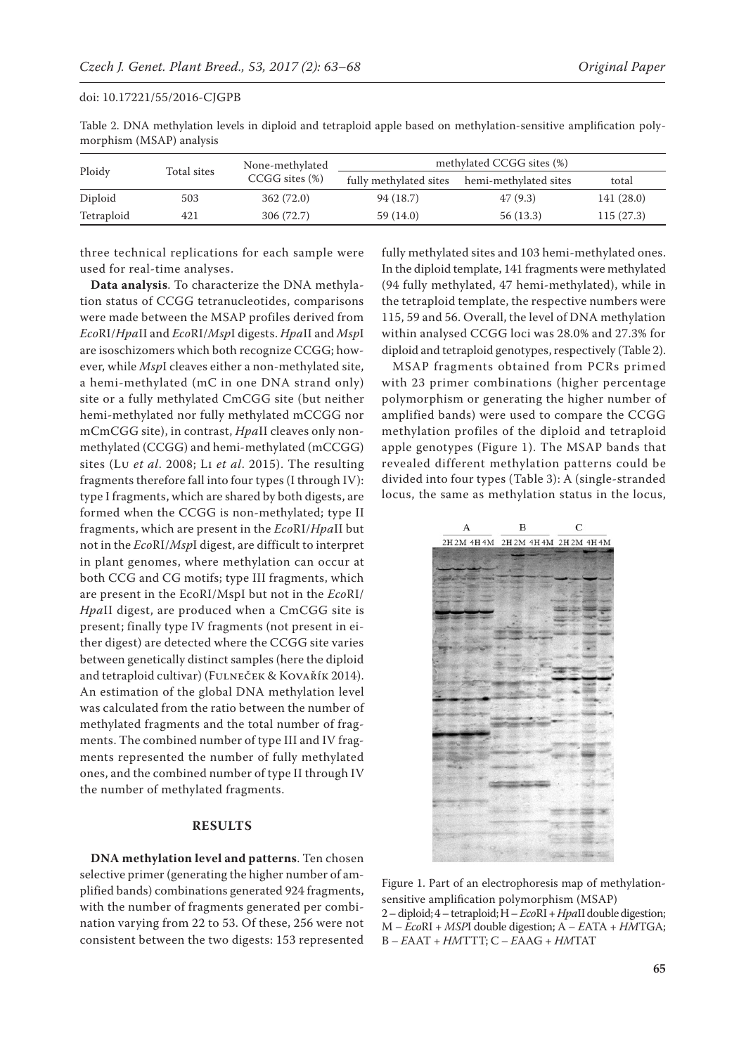| Ploidy     |             | None-methylated     | methylated CCGG sites (%) |                       |            |  |
|------------|-------------|---------------------|---------------------------|-----------------------|------------|--|
|            | Total sites | $CCGG$ sites $(\%)$ | fully methylated sites    | hemi-methylated sites | total      |  |
| Diploid    | 503         | 362(72.0)           | 94 (18.7)                 | 47(9.3)               | 141 (28.0) |  |
| Tetraploid | 421         | 306 (72.7)          | 59 (14.0)                 | 56(13.3)              | 115(27.3)  |  |

Table 2. DNA methylation levels in diploid and tetraploid apple based on methylation-sensitive amplification polymorphism (MSAP) analysis

three technical replications for each sample were used for real-time analyses.

**Data analysis**. To characterize the DNA methylation status of CCGG tetranucleotides, comparisons were made between the MSAP profiles derived from *Eco*RI/*Hpa*II and *Eco*RI/*Msp*I digests. *Hpa*II and *Msp*I are isoschizomers which both recognize CCGG; however, while *Msp*I cleaves either a non-methylated site, a hemi-methylated (mC in one DNA strand only) site or a fully methylated CmCGG site (but neither hemi-methylated nor fully methylated mCCGG nor mCmCGG site), in contrast, *Hpa*II cleaves only nonmethylated (CCGG) and hemi-methylated (mCCGG) sites (Lu *et al*. 2008; Li *et al*. 2015). The resulting fragments therefore fall into four types (I through IV): type I fragments, which are shared by both digests, are formed when the CCGG is non-methylated; type II fragments, which are present in the *Eco*RI/*Hpa*II but not in the *Eco*RI/*Msp*I digest, are difficult to interpret in plant genomes, where methylation can occur at both CCG and CG motifs; type III fragments, which are present in the EcoRI/MspI but not in the *Eco*RI/ *Hpa*II digest, are produced when a CmCGG site is present; finally type IV fragments (not present in either digest) are detected where the CCGG site varies between genetically distinct samples (here the diploid and tetraploid cultivar) (Fulneček & Kovařík 2014). An estimation of the global DNA methylation level was calculated from the ratio between the number of methylated fragments and the total number of fragments. The combined number of type III and IV fragments represented the number of fully methylated ones, and the combined number of type II through IV the number of methylated fragments.

# **RESULTS**

**DNA methylation level and patterns**. Ten chosen selective primer (generating the higher number of amplified bands) combinations generated 924 fragments, with the number of fragments generated per combination varying from 22 to 53. Of these, 256 were not consistent between the two digests: 153 represented fully methylated sites and 103 hemi-methylated ones. In the diploid template, 141 fragments were methylated (94 fully methylated, 47 hemi-methylated), while in the tetraploid template, the respective numbers were 115, 59 and 56. Overall, the level of DNA methylation within analysed CCGG loci was 28.0% and 27.3% for diploid and tetraploid genotypes, respectively (Table 2).

MSAP fragments obtained from PCRs primed with 23 primer combinations (higher percentage polymorphism or generating the higher number of amplified bands) were used to compare the CCGG methylation profiles of the diploid and tetraploid apple genotypes (Figure 1). The MSAP bands that revealed different methylation patterns could be divided into four types (Table 3): A (single-stranded locus, the same as methylation status in the locus,



Figure 1. Part of an electrophoresis map of methylationsensitive amplification polymorphism (MSAP) 2 – diploid; 4 – tetraploid; H – *Eco*RI + *Hpa*II double digestion; M – *Eco*RI + *MSP*I double digestion; A – *E*ATA + *HM*TGA; B – *E*AAT + *HM*TTT; C – *E*AAG + *HM*TAT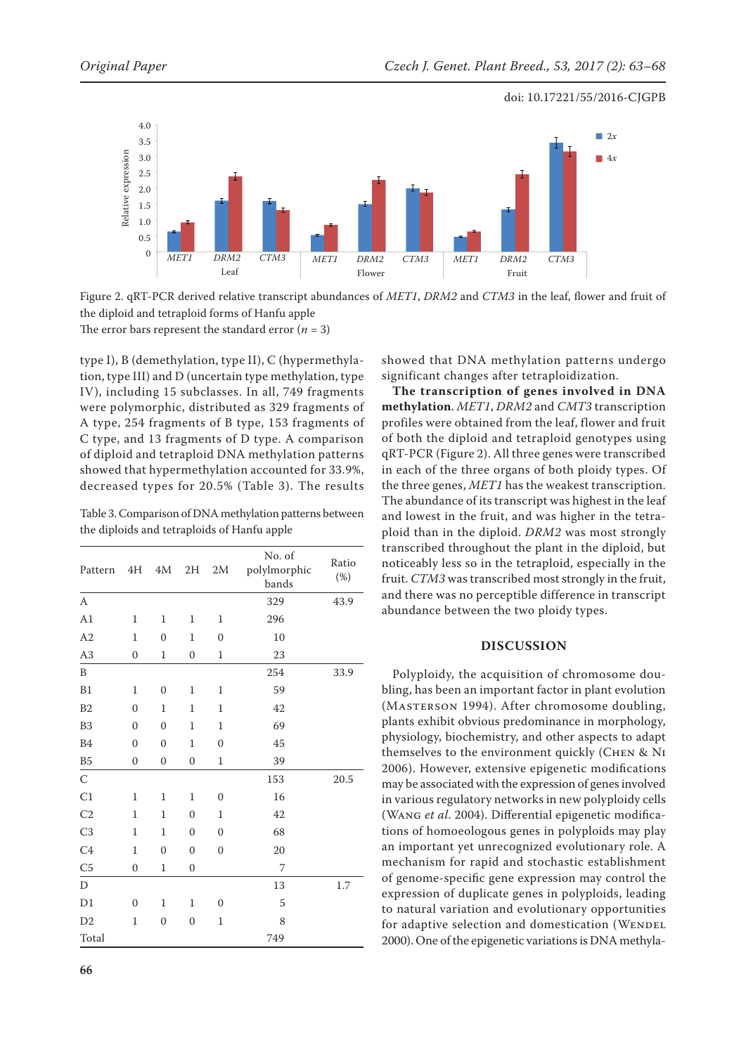

Figure 2. qRT-PCR derived relative transcript abundances of *MET1*, *DRM2* and *CTM3* in the leaf, flower and fruit of the diploid and tetraploid forms of Hanfu apple

type I), B (demethylation, type II), C (hypermethylation, type III) and D (uncertain type methylation, type IV), including 15 subclasses. In all, 749 fragments were polymorphic, distributed as 329 fragments of A type, 254 fragments of B type, 153 fragments of C type, and 13 fragments of D type. A comparison of diploid and tetraploid DNA methylation patterns showed that hypermethylation accounted for 33.9%, decreased types for 20.5% (Table 3). The results

Table 3. Comparison of DNA methylation patterns between the diploids and tetraploids of Hanfu apple

| Pattern        | 4H               | 4M               | 2H               | 2M               | No. of<br>polylmorphic<br>bands | Ratio<br>$(\%)$ |
|----------------|------------------|------------------|------------------|------------------|---------------------------------|-----------------|
| A              |                  |                  |                  |                  | 329                             | 43.9            |
| A1             | $\mathbf{1}$     | $\mathbf{1}$     | $\mathbf{1}$     | $\mathbf{1}$     | 296                             |                 |
| A2             | 1                | $\mathbf{0}$     | 1                | $\mathbf{0}$     | 10                              |                 |
| A3             | $\overline{0}$   | $\mathbf{1}$     | $\mathbf{0}$     | $\mathbf{1}$     | 23                              |                 |
| B              |                  |                  |                  |                  | 254                             | 33.9            |
| B1             | $\mathbf{1}$     | $\boldsymbol{0}$ | $\mathbf 1$      | $\mathbf{1}$     | 59                              |                 |
| B2             | $\mathbf{0}$     | $\mathbf{1}$     | $\mathbf{1}$     | $\mathbf{1}$     | 42                              |                 |
| B <sub>3</sub> | $\overline{0}$   | $\overline{0}$   | $\mathbf{1}$     | $\mathbf{1}$     | 69                              |                 |
| <b>B4</b>      | $\overline{0}$   | $\mathbf{0}$     | $\mathbf{1}$     | $\mathbf{0}$     | 45                              |                 |
| B <sub>5</sub> | $\mathbf{0}$     | $\mathbf{0}$     | $\overline{0}$   | $\mathbf{1}$     | 39                              |                 |
| $\mathsf{C}$   |                  |                  |                  |                  | 153                             | 20.5            |
| C1             | $\mathbf{1}$     | $\mathbf{1}$     | $\mathbf 1$      | $\overline{0}$   | 16                              |                 |
| C <sub>2</sub> | $\mathbf{1}$     | $\mathbf{1}$     | $\mathbf{0}$     | $\mathbf{1}$     | 42                              |                 |
| C <sub>3</sub> | $\mathbf{1}$     | $\mathbf{1}$     | $\overline{0}$   | $\overline{0}$   | 68                              |                 |
| C <sub>4</sub> | $\mathbf{1}$     | $\overline{0}$   | $\mathbf{0}$     | $\mathbf{0}$     | 20                              |                 |
| C <sub>5</sub> | $\mathbf{0}$     | $\mathbf{1}$     | $\mathbf{0}$     |                  | 7                               |                 |
| D              |                  |                  |                  |                  | 13                              | 1.7             |
| D1             | $\boldsymbol{0}$ | $\mathbf{1}$     | $\mathbf 1$      | $\boldsymbol{0}$ | 5                               |                 |
| D <sub>2</sub> | $\mathbf{1}$     | $\boldsymbol{0}$ | $\boldsymbol{0}$ | $\mathbf{1}$     | 8                               |                 |
| Total          |                  |                  |                  |                  | 749                             |                 |

showed that DNA methylation patterns undergo significant changes after tetraploidization.

**The transcription of genes involved in DNA methylation**. *MET1*, *DRM2* and *CMT3* transcription profiles were obtained from the leaf, flower and fruit of both the diploid and tetraploid genotypes using qRT-PCR (Figure 2). All three genes were transcribed in each of the three organs of both ploidy types. Of the three genes, *MET1* has the weakest transcription. The abundance of its transcript was highest in the leaf and lowest in the fruit, and was higher in the tetraploid than in the diploid. *DRM2* was most strongly transcribed throughout the plant in the diploid, but noticeably less so in the tetraploid, especially in the fruit. *CTM3* was transcribed most strongly in the fruit, and there was no perceptible difference in transcript abundance between the two ploidy types.

# **DISCUSSION**

Polyploidy, the acquisition of chromosome doubling, has been an important factor in plant evolution (Masterson 1994). After chromosome doubling, plants exhibit obvious predominance in morphology, physiology, biochemistry, and other aspects to adapt themselves to the environment quickly (Chen & Ni 2006). However, extensive epigenetic modifications may be associated with the expression of genes involved in various regulatory networks in new polyploidy cells (Wang *et al*. 2004). Differential epigenetic modifications of homoeologous genes in polyploids may play an important yet unrecognized evolutionary role. A mechanism for rapid and stochastic establishment of genome-specific gene expression may control the expression of duplicate genes in polyploids, leading to natural variation and evolutionary opportunities for adaptive selection and domestication (WENDEL 2000). One of the epigenetic variations is DNA methyla-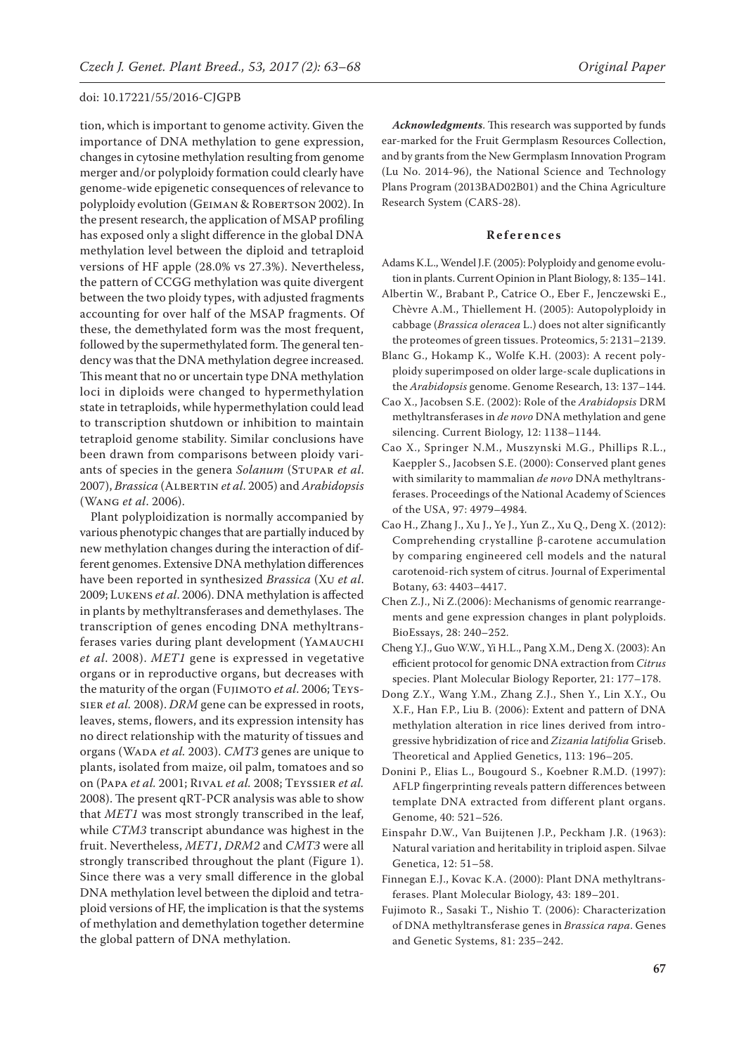tion, which is important to genome activity. Given the importance of DNA methylation to gene expression, changes in cytosine methylation resulting from genome merger and/or polyploidy formation could clearly have genome-wide epigenetic consequences of relevance to polyploidy evolution (GEIMAN & ROBERTSON 2002). In the present research, the application of MSAP profiling has exposed only a slight difference in the global DNA methylation level between the diploid and tetraploid versions of HF apple (28.0% vs 27.3%). Nevertheless, the pattern of CCGG methylation was quite divergent between the two ploidy types, with adjusted fragments accounting for over half of the MSAP fragments. Of these, the demethylated form was the most frequent, followed by the supermethylated form. The general tendency was that the DNA methylation degree increased. This meant that no or uncertain type DNA methylation loci in diploids were changed to hypermethylation state in tetraploids, while hypermethylation could lead to transcription shutdown or inhibition to maintain tetraploid genome stability. Similar conclusions have been drawn from comparisons between ploidy variants of species in the genera *Solanum* (STUPAR *et al.* 2007), *Brassica* (Albertin *et al*. 2005) and *Arabidopsis*  (Wang *et al*. 2006).

Plant polyploidization is normally accompanied by various phenotypic changes that are partially induced by new methylation changes during the interaction of different genomes. Extensive DNA methylation differences have been reported in synthesized *Brassica* (Xu *et al*. 2009; Lukens *et al*. 2006). DNA methylation is affected in plants by methyltransferases and demethylases. The transcription of genes encoding DNA methyltransferases varies during plant development (Yamauchi *et al*. 2008). *MET1* gene is expressed in vegetative organs or in reproductive organs, but decreases with the maturity of the organ (FUJIMOTO et al. 2006; TEYSsier *et al.* 2008). *DRM* gene can be expressed in roots, leaves, stems, flowers, and its expression intensity has no direct relationship with the maturity of tissues and organs (WADA et al. 2003). *CMT3* genes are unique to plants, isolated from maize, oil palm, tomatoes and so on (Papa *et al.* 2001; Rival *et al.* 2008; Teyssier *et al.*  2008). The present qRT-PCR analysis was able to show that *MET1* was most strongly transcribed in the leaf, while *CTM3* transcript abundance was highest in the fruit. Nevertheless, *MET1*, *DRM2* and *CMT3* were all strongly transcribed throughout the plant (Figure 1). Since there was a very small difference in the global DNA methylation level between the diploid and tetraploid versions of HF, the implication is that the systems of methylation and demethylation together determine the global pattern of DNA methylation.

*Acknowledgments*. This research was supported by funds ear-marked for the Fruit Germplasm Resources Collection, and by grants from the New Germplasm Innovation Program (Lu No. 2014-96), the National Science and Technology Plans Program (2013BAD02B01) and the China Agriculture Research System (CARS-28).

### **References**

- Adams K.L., Wendel J.F. (2005): Polyploidy and genome evolution in plants. Current Opinion in Plant Biology, 8: 135–141.
- Albertin W., Brabant P., Catrice O., Eber F., Jenczewski E., Chèvre A.M., Thiellement H. (2005): Autopolyploidy in cabbage (*Brassica oleracea* L.) does not alter significantly the proteomes of green tissues. Proteomics, 5: 2131–2139.
- Blanc G., Hokamp K., Wolfe K.H. (2003): A recent polyploidy superimposed on older large-scale duplications in the *Arabidopsis* genome. Genome Research, 13: 137–144.
- Cao X., Jacobsen S.E. (2002): Role of the *Arabidopsis* DRM methyltransferases in *de novo* DNA methylation and gene silencing. Current Biology, 12: 1138–1144.
- Cao X., Springer N.M., Muszynski M.G., Phillips R.L., Kaeppler S., Jacobsen S.E. (2000): Conserved plant genes with similarity to mammalian *de novo* DNA methyltransferases. Proceedings of the National Academy of Sciences of the USA, 97: 4979–4984.
- Cao H., Zhang J., Xu J., Ye J., Yun Z., Xu Q., Deng X. (2012): Comprehending crystalline β-carotene accumulation by comparing engineered cell models and the natural carotenoid-rich system of citrus. Journal of Experimental Botany, 63: 4403–4417.
- Chen Z.J., Ni Z.(2006): Mechanisms of genomic rearrangements and gene expression changes in plant polyploids. BioEssays, 28: 240–252.
- Cheng Y.J., Guo W.W., Yi H.L., Pang X.M., Deng X. (2003): An efficient protocol for genomic DNA extraction from *Citrus* species. Plant Molecular Biology Reporter, 21: 177–178.
- Dong Z.Y., Wang Y.M., Zhang Z.J., Shen Y., Lin X.Y., Ou X.F., Han F.P., Liu B. (2006): Extent and pattern of DNA methylation alteration in rice lines derived from introgressive hybridization of rice and *Zizania latifolia* Griseb. Theoretical and Applied Genetics, 113: 196–205.
- Donini P., Elias L., Bougourd S., Koebner R.M.D. (1997): AFLP fingerprinting reveals pattern differences between template DNA extracted from different plant organs. Genome, 40: 521–526.
- Einspahr D.W., Van Buijtenen J.P., Peckham J.R. (1963): Natural variation and heritability in triploid aspen. Silvae Genetica, 12: 51–58.
- Finnegan E.J., Kovac K.A. (2000): Plant DNA methyltransferases. Plant Molecular Biology, 43: 189–201.
- Fujimoto R., Sasaki T., Nishio T. (2006): Characterization of DNA methyltransferase genes in *Brassica rapa*. Genes and Genetic Systems, 81: 235–242.